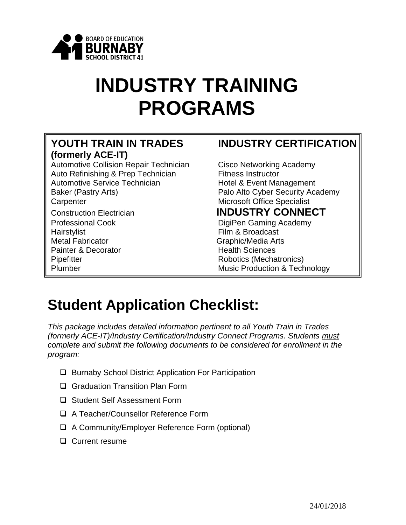

# **INDUSTRY TRAINING PROGRAMS**

# **(formerly ACE-IT)**

Automotive Collision Repair Technician Cisco Networking Academy Auto Refinishing & Prep Technician Fitness Instructor Automotive Service Technician The Hotel & Event Management Baker (Pastry Arts) **Palo Alto Cyber Security Academy** Carpenter Microsoft Office Specialist Construction Electrician **INDUSTRY CONNECT** Professional Cook DigiPen Gaming Academy Hairstylist **Film & Broadcast** Metal Fabricator **Graphic/Media Arts** Painter & Decorator **Health Sciences** Pipefitter **Robotics** (Mechatronics)

#### **YOUTH TRAIN IN TRADES INDUSTRY CERTIFICATION**

Plumber Music Production & Technology

## **Student Application Checklist:**

*This package includes detailed information pertinent to all Youth Train in Trades (formerly ACE-IT)/Industry Certification/Industry Connect Programs. Students must complete and submit the following documents to be considered for enrollment in the program:*

- □ Burnaby School District Application For Participation
- □ Graduation Transition Plan Form
- □ Student Self Assessment Form
- □ A Teacher/Counsellor Reference Form
- □ A Community/Employer Reference Form (optional)
- □ Current resume

1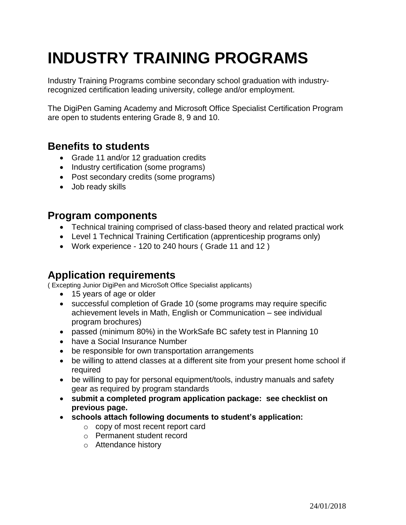## **INDUSTRY TRAINING PROGRAMS**

Industry Training Programs combine secondary school graduation with industryrecognized certification leading university, college and/or employment.

The DigiPen Gaming Academy and Microsoft Office Specialist Certification Program are open to students entering Grade 8, 9 and 10.

#### **Benefits to students**

- Grade 11 and/or 12 graduation credits
- Industry certification (some programs)
- Post secondary credits (some programs)
- Job ready skills

#### **Program components**

- Technical training comprised of class-based theory and related practical work
- Level 1 Technical Training Certification (apprenticeship programs only)
- Work experience 120 to 240 hours ( Grade 11 and 12 )

#### **Application requirements**

( Excepting Junior DigiPen and MicroSoft Office Specialist applicants)

- 15 years of age or older
- successful completion of Grade 10 (some programs may require specific achievement levels in Math, English or Communication – see individual program brochures)
- passed (minimum 80%) in the WorkSafe BC safety test in Planning 10
- have a Social Insurance Number
- be responsible for own transportation arrangements
- be willing to attend classes at a different site from your present home school if required
- be willing to pay for personal equipment/tools, industry manuals and safety gear as required by program standards
- **submit a completed program application package: see checklist on previous page.**
- **schools attach following documents to student's application:**
	- o copy of most recent report card
	- o Permanent student record
	- o Attendance history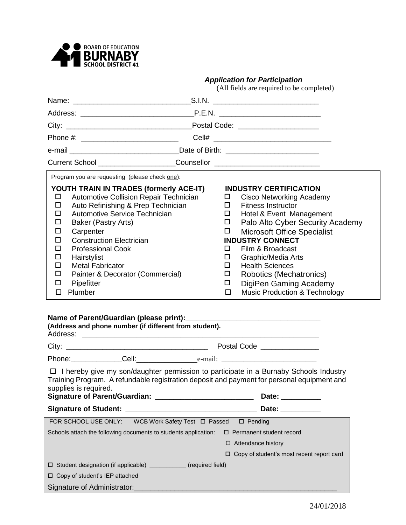

#### *Application for Participation*

(All fields are required to be completed)

|                                                                                                                                                                                                                                                                                                                                                                                                                                                                                               | Current School ______________________Counsellor ________________________________                                                                                                                                                                                                                                                                                                                                                                                     |
|-----------------------------------------------------------------------------------------------------------------------------------------------------------------------------------------------------------------------------------------------------------------------------------------------------------------------------------------------------------------------------------------------------------------------------------------------------------------------------------------------|----------------------------------------------------------------------------------------------------------------------------------------------------------------------------------------------------------------------------------------------------------------------------------------------------------------------------------------------------------------------------------------------------------------------------------------------------------------------|
| Program you are requesting (please check one):                                                                                                                                                                                                                                                                                                                                                                                                                                                |                                                                                                                                                                                                                                                                                                                                                                                                                                                                      |
| YOUTH TRAIN IN TRADES (formerly ACE-IT)<br>Automotive Collision Repair Technician<br>□<br>Auto Refinishing & Prep Technician<br>□<br>Automotive Service Technician<br>□<br>□<br>Baker (Pastry Arts)<br>□<br>Carpenter<br><b>Construction Electrician</b><br>□<br><b>Professional Cook</b><br>□<br>Hairstylist<br>□<br><b>Metal Fabricator</b><br>□<br>□<br>Painter & Decorator (Commercial)<br>Pipefitter<br>□<br>Plumber<br>$\Box$<br>(Address and phone number (if different from student). | <b>INDUSTRY CERTIFICATION</b><br><b>Cisco Networking Academy</b><br>$\Box$<br><b>Fitness Instructor</b><br>Hotel & Event Management<br>□<br>$\Box$<br>Palo Alto Cyber Security Academy<br><b>Microsoft Office Specialist</b><br>□<br><b>INDUSTRY CONNECT</b><br>Film & Broadcast<br>□<br>◻<br>Graphic/Media Arts<br><b>Health Sciences</b><br>□<br>Robotics (Mechatronics)<br>□<br>DigiPen Gaming Academy<br>□<br><b>Music Production &amp; Technology</b><br>$\Box$ |
|                                                                                                                                                                                                                                                                                                                                                                                                                                                                                               |                                                                                                                                                                                                                                                                                                                                                                                                                                                                      |
|                                                                                                                                                                                                                                                                                                                                                                                                                                                                                               |                                                                                                                                                                                                                                                                                                                                                                                                                                                                      |
| supplies is required.                                                                                                                                                                                                                                                                                                                                                                                                                                                                         | $\Box$ I hereby give my son/daughter permission to participate in a Burnaby Schools Industry<br>Training Program. A refundable registration deposit and payment for personal equipment and<br>Date: __________                                                                                                                                                                                                                                                       |
|                                                                                                                                                                                                                                                                                                                                                                                                                                                                                               | Date: __________                                                                                                                                                                                                                                                                                                                                                                                                                                                     |
| FOR SCHOOL USE ONLY: WCB Work Safety Test D Passed                                                                                                                                                                                                                                                                                                                                                                                                                                            | $\square$ Pending                                                                                                                                                                                                                                                                                                                                                                                                                                                    |
| Schools attach the following documents to students application:                                                                                                                                                                                                                                                                                                                                                                                                                               | $\square$ Permanent student record                                                                                                                                                                                                                                                                                                                                                                                                                                   |
|                                                                                                                                                                                                                                                                                                                                                                                                                                                                                               | □ Attendance history                                                                                                                                                                                                                                                                                                                                                                                                                                                 |
|                                                                                                                                                                                                                                                                                                                                                                                                                                                                                               | □ Copy of student's most recent report card                                                                                                                                                                                                                                                                                                                                                                                                                          |
| □ Student designation (if applicable) ___________ (required field)                                                                                                                                                                                                                                                                                                                                                                                                                            |                                                                                                                                                                                                                                                                                                                                                                                                                                                                      |
| □ Copy of student's IEP attached                                                                                                                                                                                                                                                                                                                                                                                                                                                              |                                                                                                                                                                                                                                                                                                                                                                                                                                                                      |
| Signature of Administrator:                                                                                                                                                                                                                                                                                                                                                                                                                                                                   | <u> 1989 - Johann John Stone, markin film yn y brenin y brenin y brenin y brenin y brenin y brenin y brenin y br</u>                                                                                                                                                                                                                                                                                                                                                 |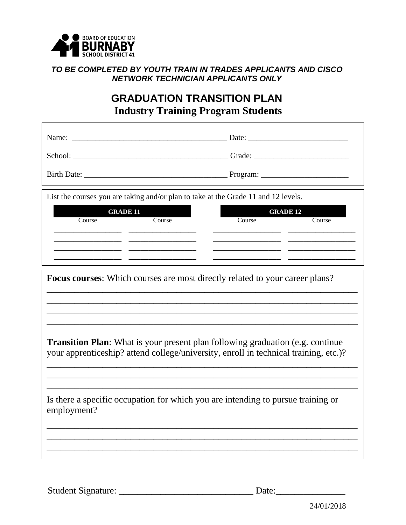

#### *TO BE COMPLETED BY YOUTH TRAIN IN TRADES APPLICANTS AND CISCO NETWORK TECHNICIAN APPLICANTS ONLY*

### **GRADUATION TRANSITION PLAN Industry Training Program Students**

| Name:              | Date:    |
|--------------------|----------|
| School:            | Grade:   |
| <b>Birth Date:</b> | Program: |

List the courses you are taking and/or plan to take at the Grade 11 and 12 levels.

| <b>GRADE 11</b> |        |        | <b>GRADE 12</b> |
|-----------------|--------|--------|-----------------|
| Course          | Course | Course | Course          |
|                 |        |        |                 |
|                 |        |        |                 |
|                 |        |        |                 |
|                 |        |        |                 |

\_\_\_\_\_\_\_\_\_\_\_\_\_\_\_\_\_\_\_\_\_\_\_\_\_\_\_\_\_\_\_\_\_\_\_\_\_\_\_\_\_\_\_\_\_\_\_\_\_\_\_\_\_\_\_\_\_\_\_\_\_\_\_\_\_\_\_ \_\_\_\_\_\_\_\_\_\_\_\_\_\_\_\_\_\_\_\_\_\_\_\_\_\_\_\_\_\_\_\_\_\_\_\_\_\_\_\_\_\_\_\_\_\_\_\_\_\_\_\_\_\_\_\_\_\_\_\_\_\_\_\_\_\_\_ \_\_\_\_\_\_\_\_\_\_\_\_\_\_\_\_\_\_\_\_\_\_\_\_\_\_\_\_\_\_\_\_\_\_\_\_\_\_\_\_\_\_\_\_\_\_\_\_\_\_\_\_\_\_\_\_\_\_\_\_\_\_\_\_\_\_\_

| <b>Focus courses:</b> Which courses are most directly related to your career plans? |  |
|-------------------------------------------------------------------------------------|--|
|-------------------------------------------------------------------------------------|--|

**Transition Plan**: What is your present plan following graduation (e.g. continue) your apprenticeship? attend college/university, enroll in technical training, etc.)?

\_\_\_\_\_\_\_\_\_\_\_\_\_\_\_\_\_\_\_\_\_\_\_\_\_\_\_\_\_\_\_\_\_\_\_\_\_\_\_\_\_\_\_\_\_\_\_\_\_\_\_\_\_\_\_\_\_\_\_\_\_\_\_\_\_\_\_ \_\_\_\_\_\_\_\_\_\_\_\_\_\_\_\_\_\_\_\_\_\_\_\_\_\_\_\_\_\_\_\_\_\_\_\_\_\_\_\_\_\_\_\_\_\_\_\_\_\_\_\_\_\_\_\_\_\_\_\_\_\_\_\_\_\_\_ \_\_\_\_\_\_\_\_\_\_\_\_\_\_\_\_\_\_\_\_\_\_\_\_\_\_\_\_\_\_\_\_\_\_\_\_\_\_\_\_\_\_\_\_\_\_\_\_\_\_\_\_\_\_\_\_\_\_\_\_\_\_\_\_\_\_\_

\_\_\_\_\_\_\_\_\_\_\_\_\_\_\_\_\_\_\_\_\_\_\_\_\_\_\_\_\_\_\_\_\_\_\_\_\_\_\_\_\_\_\_\_\_\_\_\_\_\_\_\_\_\_\_\_\_\_\_\_\_\_\_\_\_\_\_ \_\_\_\_\_\_\_\_\_\_\_\_\_\_\_\_\_\_\_\_\_\_\_\_\_\_\_\_\_\_\_\_\_\_\_\_\_\_\_\_\_\_\_\_\_\_\_\_\_\_\_\_\_\_\_\_\_\_\_\_\_\_\_\_\_\_\_ \_\_\_\_\_\_\_\_\_\_\_\_\_\_\_\_\_\_\_\_\_\_\_\_\_\_\_\_\_\_\_\_\_\_\_\_\_\_\_\_\_\_\_\_\_\_\_\_\_\_\_\_\_\_\_\_\_\_\_\_\_\_\_\_\_\_\_

\_\_\_\_\_\_\_\_\_\_\_\_\_\_\_\_\_\_\_\_\_\_\_\_\_\_\_\_\_\_\_\_\_\_\_\_\_\_\_\_\_\_\_\_\_\_\_\_\_\_\_\_\_\_\_\_\_\_\_\_\_\_\_\_\_\_\_

Is there a specific occupation for which you are intending to pursue training or employment?

Student Signature: \_\_\_\_\_\_\_\_\_\_\_\_\_\_\_\_\_\_\_\_\_\_\_\_\_\_\_\_\_ Date:\_\_\_\_\_\_\_\_\_\_\_\_\_\_\_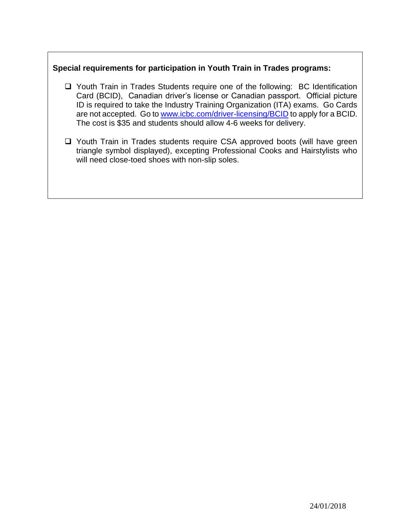#### **Special requirements for participation in Youth Train in Trades programs:**

- Youth Train in Trades Students require one of the following: BC Identification Card (BCID), Canadian driver's license or Canadian passport. Official picture ID is required to take the Industry Training Organization (ITA) exams. Go Cards are not accepted. Go to [www.icbc.com/driver-licensing/BCID](http://www.icbc.com/driver-licensing/BCID) to apply for a BCID. The cost is \$35 and students should allow 4-6 weeks for delivery.
- □ Youth Train in Trades students require CSA approved boots (will have green triangle symbol displayed), excepting Professional Cooks and Hairstylists who will need close-toed shoes with non-slip soles.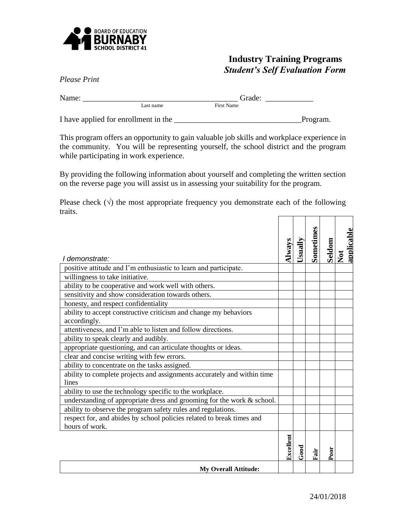

#### **Industry Training Programs** *Student's Self Evaluation Form*

*Please Print*

| Name: |           | Grade:            |
|-------|-----------|-------------------|
|       | Last name | <b>First Name</b> |
|       |           |                   |

I have applied for enrollment in the \_\_\_\_\_\_\_\_\_\_\_\_\_\_\_\_\_\_\_\_\_\_\_\_\_\_\_\_\_\_\_\_Program.

This program offers an opportunity to gain valuable job skills and workplace experience in the community. You will be representing yourself, the school district and the program while participating in work experience.

By providing the following information about yourself and completing the written section on the reverse page you will assist us in assessing your suitability for the program.

Please check  $(\sqrt{\ })$  the most appropriate frequency you demonstrate each of the following traits.  $\overline{1}$   $\overline{1}$   $\overline{1}$   $\overline{1}$   $\overline{1}$   $\overline{1}$   $\overline{1}$   $\overline{1}$   $\overline{1}$   $\overline{1}$   $\overline{1}$   $\overline{1}$   $\overline{1}$   $\overline{1}$   $\overline{1}$   $\overline{1}$   $\overline{1}$   $\overline{1}$   $\overline{1}$   $\overline{1}$   $\overline{1}$   $\overline{1}$   $\overline{1}$   $\overline{1}$   $\overline{$ 

|                                                                                  | Nways     | Usually     | <b>Sometimes</b> | Seldom | applicable |
|----------------------------------------------------------------------------------|-----------|-------------|------------------|--------|------------|
| I demonstrate:                                                                   |           |             |                  |        | Not        |
| positive attitude and I'm enthusiastic to learn and participate.                 |           |             |                  |        |            |
| willingness to take initiative.                                                  |           |             |                  |        |            |
| ability to be cooperative and work well with others.                             |           |             |                  |        |            |
| sensitivity and show consideration towards others.                               |           |             |                  |        |            |
| honesty, and respect confidentiality                                             |           |             |                  |        |            |
| ability to accept constructive criticism and change my behaviors                 |           |             |                  |        |            |
| accordingly.                                                                     |           |             |                  |        |            |
| attentiveness, and I'm able to listen and follow directions.                     |           |             |                  |        |            |
| ability to speak clearly and audibly.                                            |           |             |                  |        |            |
| appropriate questioning, and can articulate thoughts or ideas.                   |           |             |                  |        |            |
| clear and concise writing with few errors.                                       |           |             |                  |        |            |
| ability to concentrate on the tasks assigned.                                    |           |             |                  |        |            |
| ability to complete projects and assignments accurately and within time<br>lines |           |             |                  |        |            |
| ability to use the technology specific to the workplace.                         |           |             |                  |        |            |
| understanding of appropriate dress and grooming for the work $&$ school.         |           |             |                  |        |            |
| ability to observe the program safety rules and regulations.                     |           |             |                  |        |            |
| respect for, and abides by school policies related to break times and            |           |             |                  |        |            |
| hours of work.                                                                   |           |             |                  |        |            |
|                                                                                  | Excellent | <b>Good</b> | Fair             | Poor   |            |
| <b>My Overall Attitude:</b>                                                      |           |             |                  |        |            |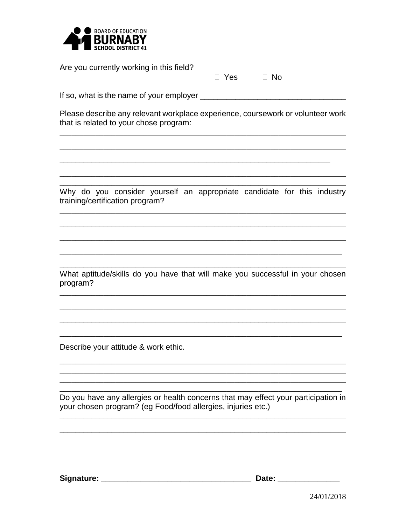

Are you currently working in this field?

| $\Box$ No<br>Yes |  |
|------------------|--|
|------------------|--|

Please describe any relevant workplace experience, coursework or volunteer work that is related to your chose program:

Why do you consider yourself an appropriate candidate for this industry training/certification program?

What aptitude/skills do you have that will make you successful in your chosen program?

Describe your attitude & work ethic.

Do you have any allergies or health concerns that may effect your participation in your chosen program? (eg Food/food allergies, injuries etc.)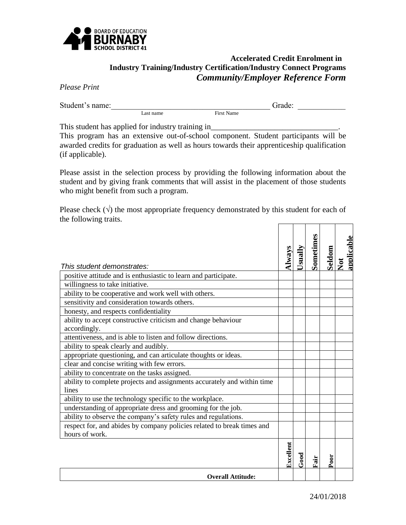

#### **Accelerated Credit Enrolment in Industry Training/Industry Certification/Industry Connect Programs** *Community/Employer Reference Form*

*Please Print*

Student's name:\_\_\_\_\_\_\_\_\_\_\_\_\_\_\_\_\_\_\_\_\_\_\_\_\_\_\_\_\_\_\_\_\_\_\_\_\_\_\_\_ Grade: \_\_\_\_\_\_\_\_\_\_\_\_ First Name

This student has applied for industry training in

This program has an extensive out-of-school component. Student participants will be awarded credits for graduation as well as hours towards their apprenticeship qualification (if applicable).

Please assist in the selection process by providing the following information about the student and by giving frank comments that will assist in the placement of those students who might benefit from such a program.

Please check  $(\sqrt{\ })$  the most appropriate frequency demonstrated by this student for each of the following traits.

|                                                                                  | Navs      | Jsually | Sometimes | Seldom | applicable |
|----------------------------------------------------------------------------------|-----------|---------|-----------|--------|------------|
| This student demonstrates:                                                       |           |         |           |        | <b>Not</b> |
| positive attitude and is enthusiastic to learn and participate.                  |           |         |           |        |            |
| willingness to take initiative.                                                  |           |         |           |        |            |
| ability to be cooperative and work well with others.                             |           |         |           |        |            |
| sensitivity and consideration towards others.                                    |           |         |           |        |            |
| honesty, and respects confidentiality                                            |           |         |           |        |            |
| ability to accept constructive criticism and change behaviour                    |           |         |           |        |            |
| accordingly.                                                                     |           |         |           |        |            |
| attentiveness, and is able to listen and follow directions.                      |           |         |           |        |            |
| ability to speak clearly and audibly.                                            |           |         |           |        |            |
| appropriate questioning, and can articulate thoughts or ideas.                   |           |         |           |        |            |
| clear and concise writing with few errors.                                       |           |         |           |        |            |
| ability to concentrate on the tasks assigned.                                    |           |         |           |        |            |
| ability to complete projects and assignments accurately and within time<br>lines |           |         |           |        |            |
| ability to use the technology specific to the workplace.                         |           |         |           |        |            |
| understanding of appropriate dress and grooming for the job.                     |           |         |           |        |            |
| ability to observe the company's safety rules and regulations.                   |           |         |           |        |            |
| respect for, and abides by company policies related to break times and           |           |         |           |        |            |
| hours of work.                                                                   |           |         |           |        |            |
|                                                                                  | Excellent | 500d    | Fair      | Poor   |            |
| <b>Overall Attitude:</b>                                                         |           |         |           |        |            |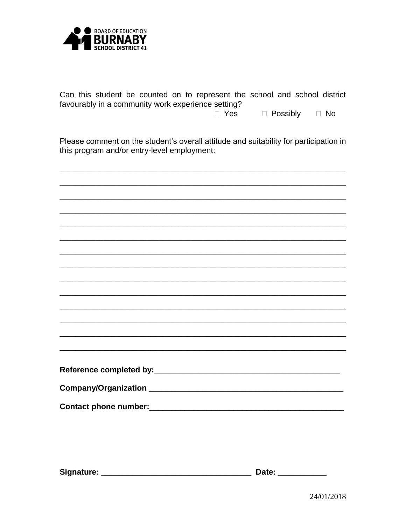

Can this student be counted on to represent the school and school district favourably in a community work experience setting?

> □ Yes □ Possibly  $\Box$  No

Please comment on the student's overall attitude and suitability for participation in this program and/or entry-level employment: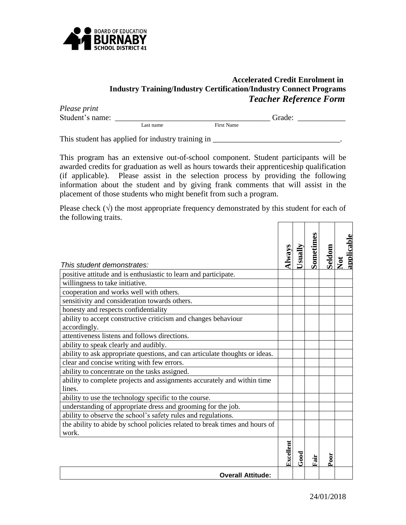

#### **Accelerated Credit Enrolment in Industry Training/Industry Certification/Industry Connect Programs**  *Teacher Reference Form*

| Please print<br>Student's name: |           |                   | Grade: |  |
|---------------------------------|-----------|-------------------|--------|--|
|                                 | Last name | <b>First Name</b> |        |  |

This student has applied for industry training in \_\_\_\_\_\_\_\_\_\_\_\_\_\_\_\_\_\_\_\_\_\_\_\_\_\_\_\_\_\_\_\_.

This program has an extensive out-of-school component. Student participants will be awarded credits for graduation as well as hours towards their apprenticeship qualification (if applicable). Please assist in the selection process by providing the following information about the student and by giving frank comments that will assist in the placement of those students who might benefit from such a program.

Please check  $(\sqrt{\ })$  the most appropriate frequency demonstrated by this student for each of the following traits.

|                                                                                   | $I_{\rm W3}$ | Jsually | Sometimes | Seldom | applicable<br>Not |
|-----------------------------------------------------------------------------------|--------------|---------|-----------|--------|-------------------|
| This student demonstrates:                                                        |              |         |           |        |                   |
| positive attitude and is enthusiastic to learn and participate.                   |              |         |           |        |                   |
| willingness to take initiative.                                                   |              |         |           |        |                   |
| cooperation and works well with others.                                           |              |         |           |        |                   |
| sensitivity and consideration towards others.                                     |              |         |           |        |                   |
| honesty and respects confidentiality                                              |              |         |           |        |                   |
| ability to accept constructive criticism and changes behaviour                    |              |         |           |        |                   |
| accordingly.                                                                      |              |         |           |        |                   |
| attentiveness listens and follows directions.                                     |              |         |           |        |                   |
| ability to speak clearly and audibly.                                             |              |         |           |        |                   |
| ability to ask appropriate questions, and can articulate thoughts or ideas.       |              |         |           |        |                   |
| clear and concise writing with few errors.                                        |              |         |           |        |                   |
| ability to concentrate on the tasks assigned.                                     |              |         |           |        |                   |
| ability to complete projects and assignments accurately and within time<br>lines. |              |         |           |        |                   |
| ability to use the technology specific to the course.                             |              |         |           |        |                   |
| understanding of appropriate dress and grooming for the job.                      |              |         |           |        |                   |
| ability to observe the school's safety rules and regulations.                     |              |         |           |        |                   |
| the ability to abide by school policies related to break times and hours of       |              |         |           |        |                   |
| work.                                                                             |              |         |           |        |                   |
|                                                                                   | Excellent    | 500d    | Fair      | Poor   |                   |
| <b>Overall Attitude:</b>                                                          |              |         |           |        |                   |